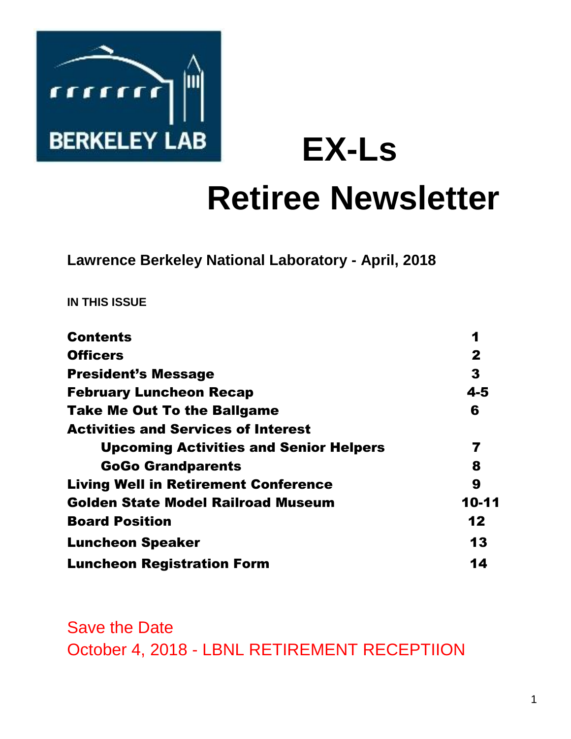

**EX-Ls** 

# **Retiree Newsletter**

**Lawrence Berkeley National Laboratory - April, 2018** 

**IN THIS ISSUE** 

| <b>Contents</b>                               | 1            |
|-----------------------------------------------|--------------|
| <b>Officers</b>                               | $\mathbf{2}$ |
| <b>President's Message</b>                    | 3            |
| <b>February Luncheon Recap</b>                | $4 - 5$      |
| <b>Take Me Out To the Ballgame</b>            | 6            |
| <b>Activities and Services of Interest</b>    |              |
| <b>Upcoming Activities and Senior Helpers</b> | 7            |
| <b>GoGo Grandparents</b>                      | 8            |
| <b>Living Well in Retirement Conference</b>   | 9            |
| <b>Golden State Model Railroad Museum</b>     | 10-11        |
| <b>Board Position</b>                         | 12           |
| <b>Luncheon Speaker</b>                       | 13           |
| <b>Luncheon Registration Form</b>             | 14           |

Save the Date October 4, 2018 - LBNL RETIREMENT RECEPTIION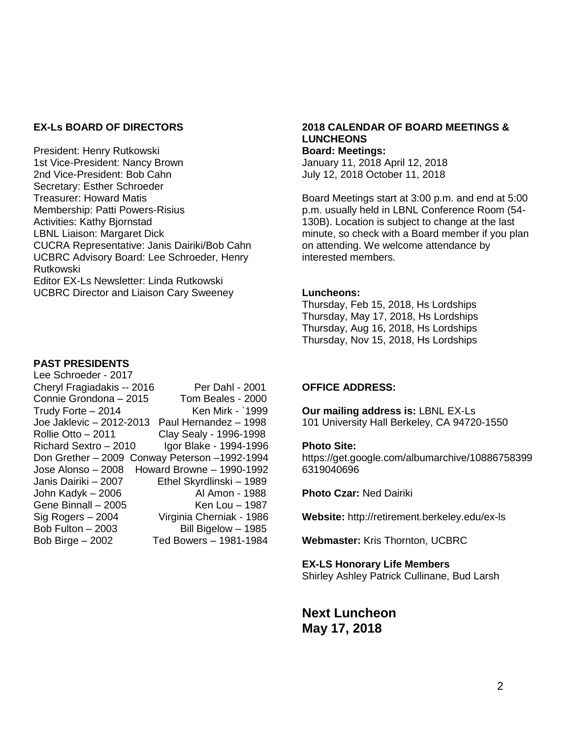#### **EX-Ls BOARD OF DIRECTORS**

President: Henry Rutkowski 1st Vice-President: Nancy Brown 2nd Vice-President: Bob Cahn Secretary: Esther Schroeder Treasurer: Howard Matis Membership: Patti Powers-Risius Activities: Kathy Bjornstad LBNL Liaison: Margaret Dick CUCRA Representative: Janis Dairiki/Bob Cahn UCBRC Advisory Board: Lee Schroeder, Henry Rutkowski Editor EX-Ls Newsletter: Linda Rutkowski UCBRC Director and Liaison Cary Sweeney

#### **PAST PRESIDENTS**

| Cheryl Fragiadakis -- 2016<br>Per Dahl - 2001  |
|------------------------------------------------|
| Tom Beales - 2000                              |
| Ken Mirk - `1999                               |
| Paul Hernandez - 1998                          |
| Clay Sealy - 1996-1998                         |
| Igor Blake - 1994-1996                         |
| Don Grether - 2009 Conway Peterson - 1992-1994 |
| Howard Browne - 1990-1992                      |
| Ethel Skyrdlinski - 1989                       |
| Al Amon - 1988                                 |
| Ken Lou - 1987                                 |
| Virginia Cherniak - 1986                       |
| Bill Bigelow - 1985                            |
| Ted Bowers - 1981-1984                         |
|                                                |

#### **2018 CALENDAR OF BOARD MEETINGS & LUNCHEONS Board: Meetings:**

January 11, 2018 April 12, 2018 July 12, 2018 October 11, 2018

Board Meetings start at 3:00 p.m. and end at 5:00 p.m. usually held in LBNL Conference Room (54- 130B). Location is subject to change at the last minute, so check with a Board member if you plan on attending. We welcome attendance by interested members.

#### **Luncheons:**

Thursday, Feb 15, 2018, Hs Lordships Thursday, May 17, 2018, Hs Lordships Thursday, Aug 16, 2018, Hs Lordships Thursday, Nov 15, 2018, Hs Lordships

#### **OFFICE ADDRESS:**

**Our mailing address is:** LBNL EX-Ls 101 University Hall Berkeley, CA 94720-1550

#### **Photo Site:**

https://get.google.com/albumarchive/10886758399 6319040696

**Photo Czar:** Ned Dairiki

**Website:** http://retirement.berkeley.edu/ex-ls

**Webmaster:** Kris Thornton, UCBRC

#### **EX-LS Honorary Life Members**

Shirley Ashley Patrick Cullinane, Bud Larsh

**Next Luncheon May 17, 2018**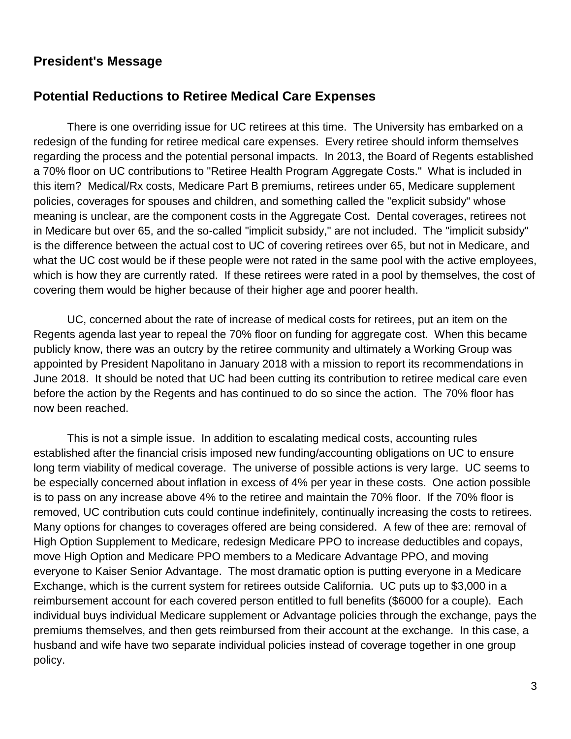# **President's Message**

## **Potential Reductions to Retiree Medical Care Expenses**

There is one overriding issue for UC retirees at this time. The University has embarked on a redesign of the funding for retiree medical care expenses. Every retiree should inform themselves regarding the process and the potential personal impacts. In 2013, the Board of Regents established a 70% floor on UC contributions to "Retiree Health Program Aggregate Costs." What is included in this item? Medical/Rx costs, Medicare Part B premiums, retirees under 65, Medicare supplement policies, coverages for spouses and children, and something called the "explicit subsidy" whose meaning is unclear, are the component costs in the Aggregate Cost. Dental coverages, retirees not in Medicare but over 65, and the so-called "implicit subsidy," are not included. The "implicit subsidy" is the difference between the actual cost to UC of covering retirees over 65, but not in Medicare, and what the UC cost would be if these people were not rated in the same pool with the active employees, which is how they are currently rated. If these retirees were rated in a pool by themselves, the cost of covering them would be higher because of their higher age and poorer health.

UC, concerned about the rate of increase of medical costs for retirees, put an item on the Regents agenda last year to repeal the 70% floor on funding for aggregate cost. When this became publicly know, there was an outcry by the retiree community and ultimately a Working Group was appointed by President Napolitano in January 2018 with a mission to report its recommendations in June 2018. It should be noted that UC had been cutting its contribution to retiree medical care even before the action by the Regents and has continued to do so since the action. The 70% floor has now been reached.

This is not a simple issue. In addition to escalating medical costs, accounting rules established after the financial crisis imposed new funding/accounting obligations on UC to ensure long term viability of medical coverage. The universe of possible actions is very large. UC seems to be especially concerned about inflation in excess of 4% per year in these costs. One action possible is to pass on any increase above 4% to the retiree and maintain the 70% floor. If the 70% floor is removed, UC contribution cuts could continue indefinitely, continually increasing the costs to retirees. Many options for changes to coverages offered are being considered. A few of thee are: removal of High Option Supplement to Medicare, redesign Medicare PPO to increase deductibles and copays, move High Option and Medicare PPO members to a Medicare Advantage PPO, and moving everyone to Kaiser Senior Advantage. The most dramatic option is putting everyone in a Medicare Exchange, which is the current system for retirees outside California. UC puts up to \$3,000 in a reimbursement account for each covered person entitled to full benefits (\$6000 for a couple). Each individual buys individual Medicare supplement or Advantage policies through the exchange, pays the premiums themselves, and then gets reimbursed from their account at the exchange. In this case, a husband and wife have two separate individual policies instead of coverage together in one group policy.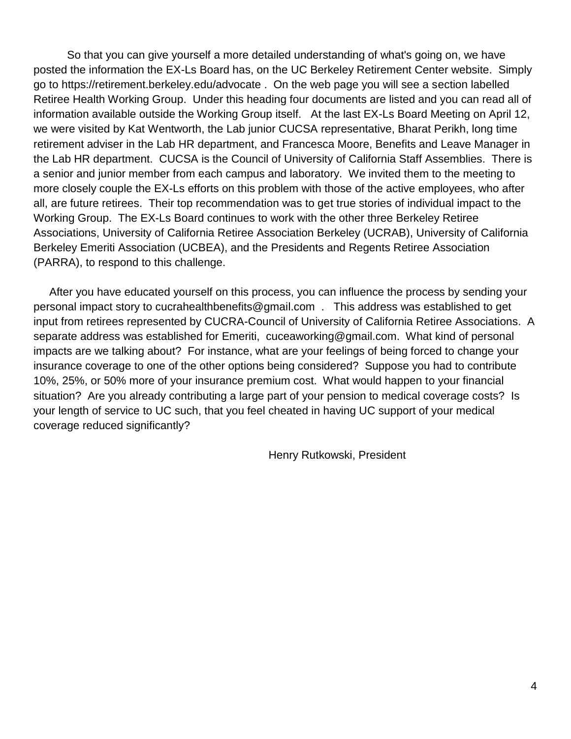So that you can give yourself a more detailed understanding of what's going on, we have posted the information the EX-Ls Board has, on the UC Berkeley Retirement Center website. Simply go to https://retirement.berkeley.edu/advocate . On the web page you will see a section labelled Retiree Health Working Group. Under this heading four documents are listed and you can read all of information available outside the Working Group itself. At the last EX-Ls Board Meeting on April 12, we were visited by Kat Wentworth, the Lab junior CUCSA representative, Bharat Perikh, long time retirement adviser in the Lab HR department, and Francesca Moore, Benefits and Leave Manager in the Lab HR department. CUCSA is the Council of University of California Staff Assemblies. There is a senior and junior member from each campus and laboratory. We invited them to the meeting to more closely couple the EX-Ls efforts on this problem with those of the active employees, who after all, are future retirees. Their top recommendation was to get true stories of individual impact to the Working Group. The EX-Ls Board continues to work with the other three Berkeley Retiree Associations, University of California Retiree Association Berkeley (UCRAB), University of California Berkeley Emeriti Association (UCBEA), and the Presidents and Regents Retiree Association (PARRA), to respond to this challenge.

 After you have educated yourself on this process, you can influence the process by sending your personal impact story to cucrahealthbenefits@gmail.com . This address was established to get input from retirees represented by CUCRA-Council of University of California Retiree Associations. A separate address was established for Emeriti, cuceaworking@gmail.com. What kind of personal impacts are we talking about? For instance, what are your feelings of being forced to change your insurance coverage to one of the other options being considered? Suppose you had to contribute 10%, 25%, or 50% more of your insurance premium cost. What would happen to your financial situation? Are you already contributing a large part of your pension to medical coverage costs? Is your length of service to UC such, that you feel cheated in having UC support of your medical coverage reduced significantly?

Henry Rutkowski, President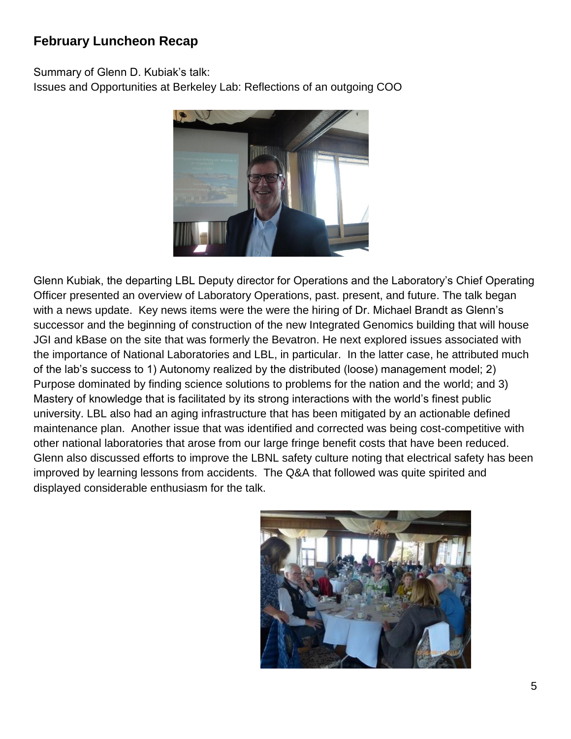# **February Luncheon Recap**

Summary of Glenn D. Kubiak's talk:

Issues and Opportunities at Berkeley Lab: Reflections of an outgoing COO



Glenn Kubiak, the departing LBL Deputy director for Operations and the Laboratory's Chief Operating Officer presented an overview of Laboratory Operations, past. present, and future. The talk began with a news update. Key news items were the were the hiring of Dr. Michael Brandt as Glenn's successor and the beginning of construction of the new Integrated Genomics building that will house JGI and kBase on the site that was formerly the Bevatron. He next explored issues associated with the importance of National Laboratories and LBL, in particular. In the latter case, he attributed much of the lab's success to 1) Autonomy realized by the distributed (loose) management model; 2) Purpose dominated by finding science solutions to problems for the nation and the world; and 3) Mastery of knowledge that is facilitated by its strong interactions with the world's finest public university. LBL also had an aging infrastructure that has been mitigated by an actionable defined maintenance plan. Another issue that was identified and corrected was being cost-competitive with other national laboratories that arose from our large fringe benefit costs that have been reduced. Glenn also discussed efforts to improve the LBNL safety culture noting that electrical safety has been improved by learning lessons from accidents. The Q&A that followed was quite spirited and displayed considerable enthusiasm for the talk.

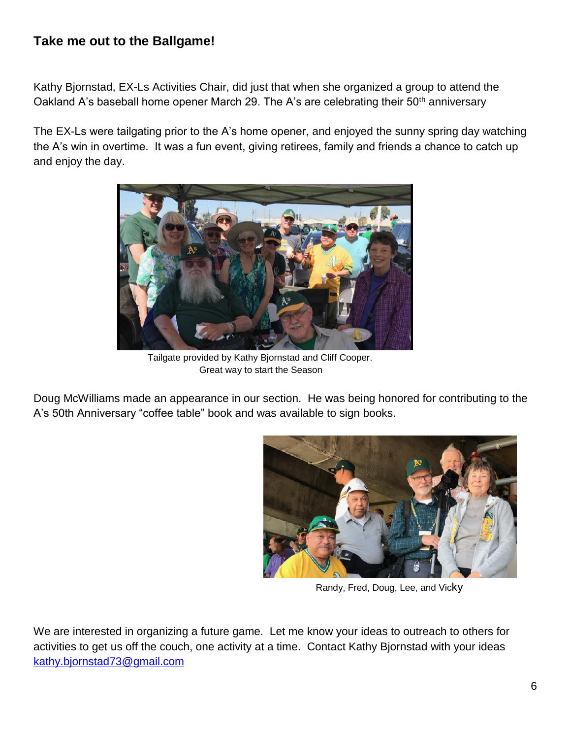# **Take me out to the Ballgame!**

Kathy Bjornstad, EX-Ls Activities Chair, did just that when she organized a group to attend the Oakland A's baseball home opener March 29. The A's are celebrating their  $50<sup>th</sup>$  anniversary

The EX-Ls were tailgating prior to the A's home opener, and enjoyed the sunny spring day watching the A's win in overtime. It was a fun event, giving retirees, family and friends a chance to catch up and enjoy the day.



 Tailgate provided by Kathy Bjornstad and Cliff Cooper. Great way to start the Season

Doug McWilliams made an appearance in our section. He was being honored for contributing to the A's 50th Anniversary "coffee table" book and was available to sign books.



Randy, Fred, Doug, Lee, and Vicky

We are interested in organizing a future game. Let me know your ideas to outreach to others for activities to get us off the couch, one activity at a time. Contact Kathy Bjornstad with your ideas [kathy.bjornstad73@gmail.com](mailto:kathy.bjornstad73@gmail.com)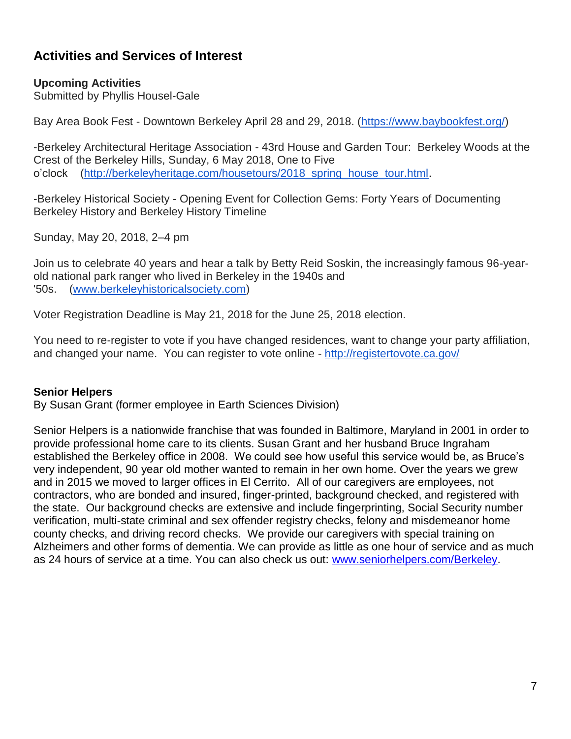# **Activities and Services of Interest**

## **Upcoming Activities**

Submitted by Phyllis Housel-Gale

Bay Area Book Fest - Downtown Berkeley April 28 and 29, 2018. [\(https://www.baybookfest.org/\)](https://www.baybookfest.org/)

-Berkeley Architectural Heritage Association - 43rd House and Garden Tour: Berkeley Woods at the Crest of the Berkeley Hills, Sunday, 6 May 2018, One to Five o'clock [\(http://berkeleyheritage.com/housetours/2018\\_spring\\_house\\_tour.html.](http://berkeleyheritage.com/housetours/2018_spring_house_tour.html)

-Berkeley Historical Society - Opening Event for Collection Gems: Forty Years of Documenting Berkeley History and Berkeley History Timeline

Sunday, May 20, 2018, 2–4 pm

Join us to celebrate 40 years and hear a talk by Betty Reid Soskin, the increasingly famous 96-yearold national park ranger who lived in Berkeley in the 1940s and '50s. [\(www.berkeleyhistoricalsociety.com\)](http://www.berkeleyhistoricalsociety.com/)

Voter Registration Deadline is May 21, 2018 for the June 25, 2018 election.

You need to re-register to vote if you have changed residences, want to change your party affiliation, and changed your name. You can register to vote online - <http://registertovote.ca.gov/>

#### **Senior Helpers**

By Susan Grant (former employee in Earth Sciences Division)

Senior Helpers is a nationwide franchise that was founded in Baltimore, Maryland in 2001 in order to provide professional home care to its clients. Susan Grant and her husband Bruce Ingraham established the Berkeley office in 2008. We could see how useful this service would be, as Bruce's very independent, 90 year old mother wanted to remain in her own home. Over the years we grew and in 2015 we moved to larger offices in El Cerrito. All of our caregivers are employees, not contractors, who are bonded and insured, finger-printed, background checked, and registered with the state. Our background checks are extensive and include fingerprinting, Social Security number verification, multi-state criminal and sex offender registry checks, felony and misdemeanor home county checks, and driving record checks. We provide our caregivers with special training on Alzheimers and other forms of dementia. We can provide as little as one hour of service and as much as 24 hours of service at a time. You can also check us out: [www.seniorhelpers.com/Berkeley.](http://www.seniorhelpers.com/Berkeley)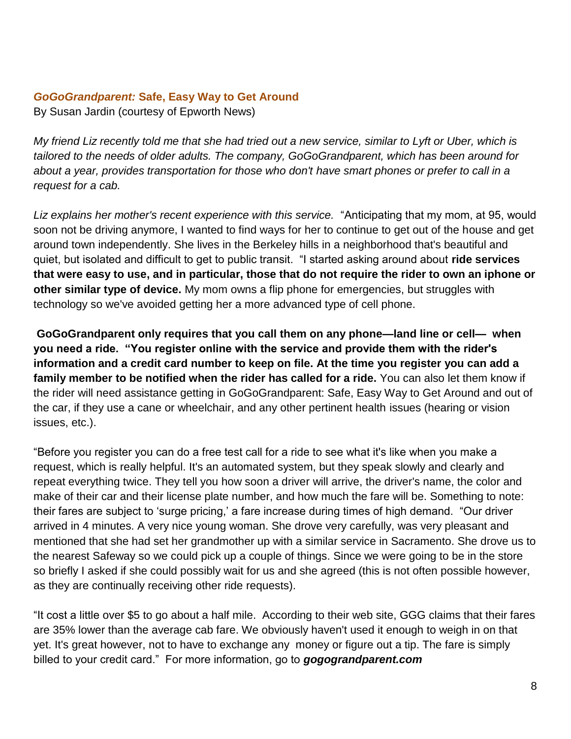#### *GoGoGrandparent:* **Safe, Easy Way to Get Around**

By Susan Jardin (courtesy of Epworth News)

*My friend Liz recently told me that she had tried out a new service, similar to Lyft or Uber, which is tailored to the needs of older adults. The company, GoGoGrandparent, which has been around for about a year, provides transportation for those who don't have smart phones or prefer to call in a request for a cab.* 

Liz explains her mother's recent experience with this service. "Anticipating that my mom, at 95, would soon not be driving anymore, I wanted to find ways for her to continue to get out of the house and get around town independently. She lives in the Berkeley hills in a neighborhood that's beautiful and quiet, but isolated and difficult to get to public transit. "I started asking around about **ride services that were easy to use, and in particular, those that do not require the rider to own an iphone or other similar type of device.** My mom owns a flip phone for emergencies, but struggles with technology so we've avoided getting her a more advanced type of cell phone.

**GoGoGrandparent only requires that you call them on any phone—land line or cell— when you need a ride. "You register online with the service and provide them with the rider's information and a credit card number to keep on file. At the time you register you can add a family member to be notified when the rider has called for a ride.** You can also let them know if the rider will need assistance getting in GoGoGrandparent: Safe, Easy Way to Get Around and out of the car, if they use a cane or wheelchair, and any other pertinent health issues (hearing or vision issues, etc.).

"Before you register you can do a free test call for a ride to see what it's like when you make a request, which is really helpful. It's an automated system, but they speak slowly and clearly and repeat everything twice. They tell you how soon a driver will arrive, the driver's name, the color and make of their car and their license plate number, and how much the fare will be. Something to note: their fares are subject to 'surge pricing,' a fare increase during times of high demand. "Our driver arrived in 4 minutes. A very nice young woman. She drove very carefully, was very pleasant and mentioned that she had set her grandmother up with a similar service in Sacramento. She drove us to the nearest Safeway so we could pick up a couple of things. Since we were going to be in the store so briefly I asked if she could possibly wait for us and she agreed (this is not often possible however, as they are continually receiving other ride requests).

"It cost a little over \$5 to go about a half mile. According to their web site, GGG claims that their fares are 35% lower than the average cab fare. We obviously haven't used it enough to weigh in on that yet. It's great however, not to have to exchange any money or figure out a tip. The fare is simply billed to your credit card." For more information, go to *gogograndparent.com*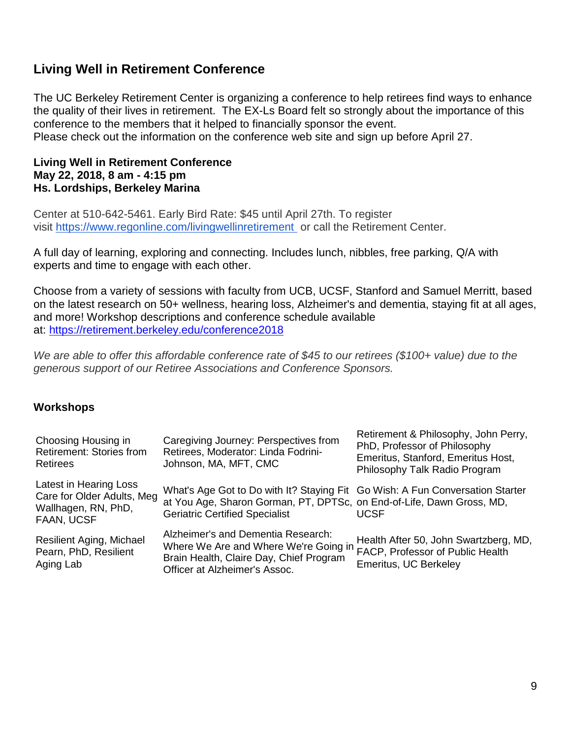# **Living Well in Retirement Conference**

The UC Berkeley Retirement Center is organizing a conference to help retirees find ways to enhance the quality of their lives in retirement. The EX-Ls Board felt so strongly about the importance of this conference to the members that it helped to financially sponsor the event. Please check out the information on the conference web site and sign up before April 27.

#### **Living Well in Retirement Conference May 22, 2018, 8 am - 4:15 pm Hs. Lordships, Berkeley Marina**

Center at 510-642-5461. Early Bird Rate: \$45 until April 27th. To register visit <https://www.regonline.com/livingwellinretirement> or call the Retirement Center.

A full day of learning, exploring and connecting. Includes lunch, nibbles, free parking, Q/A with experts and time to engage with each other.

Choose from a variety of sessions with faculty from UCB, UCSF, Stanford and Samuel Merritt, based on the latest research on 50+ wellness, hearing loss, Alzheimer's and dementia, staying fit at all ages, and more! Workshop descriptions and conference schedule available at: <https://retirement.berkeley.edu/conference2018>

*We are able to offer this affordable conference rate of \$45 to our retirees (\$100+ value) due to the generous support of our Retiree Associations and Conference Sponsors.*

#### **Workshops**

| Choosing Housing in<br><b>Retirement: Stories from</b><br><b>Retirees</b>                 | Caregiving Journey: Perspectives from<br>Retirees, Moderator: Linda Fodrini-<br>Johnson, MA, MFT, CMC                                                                                           | Retirement & Philosophy, John Perry,<br>PhD, Professor of Philosophy<br>Emeritus, Stanford, Emeritus Host,<br>Philosophy Talk Radio Program |
|-------------------------------------------------------------------------------------------|-------------------------------------------------------------------------------------------------------------------------------------------------------------------------------------------------|---------------------------------------------------------------------------------------------------------------------------------------------|
| Latest in Hearing Loss<br>Care for Older Adults, Meg<br>Wallhagen, RN, PhD,<br>FAAN, UCSF | What's Age Got to Do with It? Staying Fit Go Wish: A Fun Conversation Starter<br>at You Age, Sharon Gorman, PT, DPTSc, on End-of-Life, Dawn Gross, MD,<br><b>Geriatric Certified Specialist</b> | UCSF                                                                                                                                        |
| <b>Resilient Aging, Michael</b><br>Pearn, PhD, Resilient<br>Aging Lab                     | Alzheimer's and Dementia Research:<br>Where We Are and Where We're Going in<br>Brain Health, Claire Day, Chief Program<br>Officer at Alzheimer's Assoc.                                         | Health After 50, John Swartzberg, MD,<br>FACP, Professor of Public Health<br>Emeritus, UC Berkeley                                          |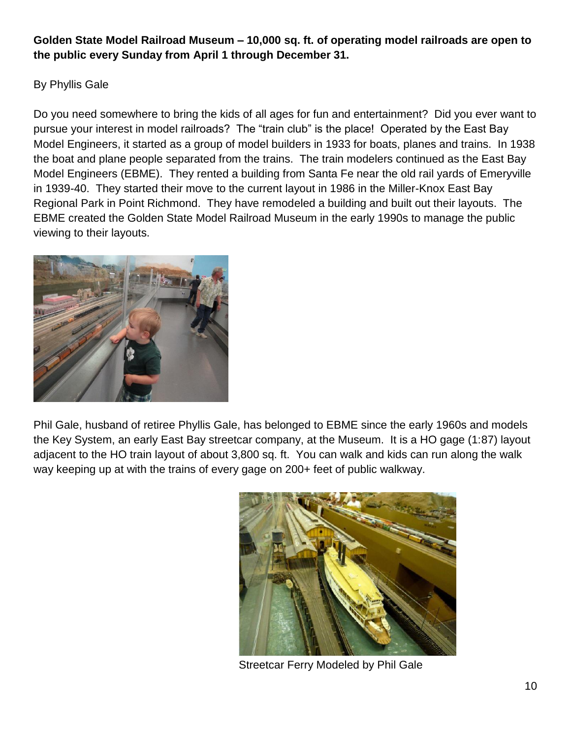## **Golden State Model Railroad Museum – 10,000 sq. ft. of operating model railroads are open to the public every Sunday from April 1 through December 31.**

By Phyllis Gale

Do you need somewhere to bring the kids of all ages for fun and entertainment? Did you ever want to pursue your interest in model railroads? The "train club" is the place! Operated by the East Bay Model Engineers, it started as a group of model builders in 1933 for boats, planes and trains. In 1938 the boat and plane people separated from the trains. The train modelers continued as the East Bay Model Engineers (EBME). They rented a building from Santa Fe near the old rail yards of Emeryville in 1939-40. They started their move to the current layout in 1986 in the Miller-Knox East Bay Regional Park in Point Richmond. They have remodeled a building and built out their layouts. The EBME created the Golden State Model Railroad Museum in the early 1990s to manage the public viewing to their layouts.



Phil Gale, husband of retiree Phyllis Gale, has belonged to EBME since the early 1960s and models the Key System, an early East Bay streetcar company, at the Museum. It is a HO gage (1:87) layout adjacent to the HO train layout of about 3,800 sq. ft. You can walk and kids can run along the walk way keeping up at with the trains of every gage on 200+ feet of public walkway.



Streetcar Ferry Modeled by Phil Gale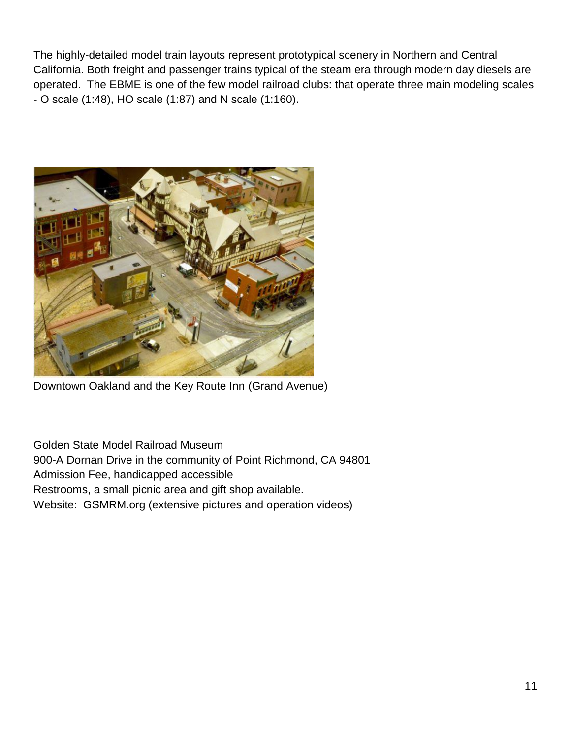The highly-detailed model train layouts represent prototypical scenery in Northern and Central California. Both freight and passenger trains typical of the steam era through modern day diesels are operated. The EBME is one of the few model railroad clubs: that operate three main modeling scales - O scale (1:48), HO scale (1:87) and N scale (1:160).



Downtown Oakland and the Key Route Inn (Grand Avenue)

Golden State Model Railroad Museum

900-A Dornan Drive in the community of Point Richmond, CA 94801

Admission Fee, handicapped accessible

Restrooms, a small picnic area and gift shop available.

Website: GSMRM.org (extensive pictures and operation videos)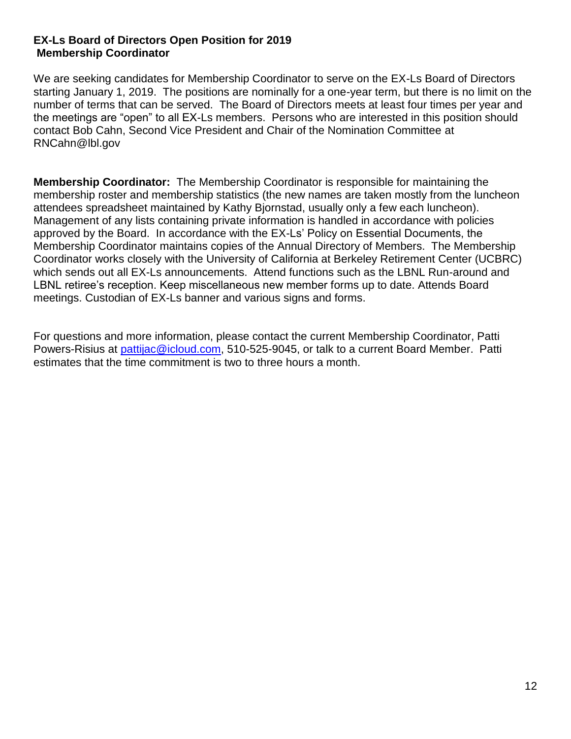### **EX-Ls Board of Directors Open Position for 2019 Membership Coordinator**

We are seeking candidates for Membership Coordinator to serve on the EX-Ls Board of Directors starting January 1, 2019. The positions are nominally for a one-year term, but there is no limit on the number of terms that can be served. The Board of Directors meets at least four times per year and the meetings are "open" to all EX-Ls members. Persons who are interested in this position should contact Bob Cahn, Second Vice President and Chair of the Nomination Committee at RNCahn@lbl.gov

**Membership Coordinator:** The Membership Coordinator is responsible for maintaining the membership roster and membership statistics (the new names are taken mostly from the luncheon attendees spreadsheet maintained by Kathy Bjornstad, usually only a few each luncheon). Management of any lists containing private information is handled in accordance with policies approved by the Board. In accordance with the EX-Ls' Policy on Essential Documents, the Membership Coordinator maintains copies of the Annual Directory of Members. The Membership Coordinator works closely with the University of California at Berkeley Retirement Center (UCBRC) which sends out all EX-Ls announcements. Attend functions such as the LBNL Run-around and LBNL retiree's reception. Keep miscellaneous new member forms up to date. Attends Board meetings. Custodian of EX-Ls banner and various signs and forms.

For questions and more information, please contact the current Membership Coordinator, Patti Powers-Risius at [pattijac@icloud.com,](mailto:pattijac@icloud.com) 510-525-9045, or talk to a current Board Member. Patti estimates that the time commitment is two to three hours a month.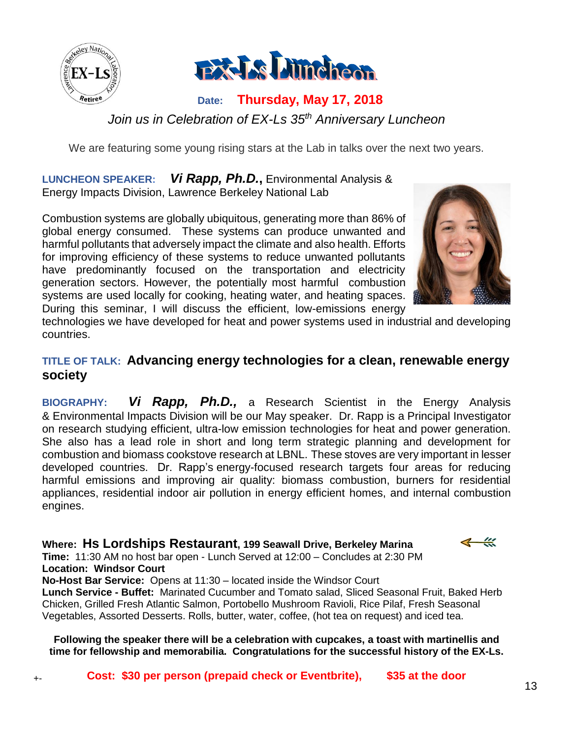

+-



# **Date: Thursday, May 17, 2018** *Join us in Celebration of EX-Ls 35th Anniversary Luncheon*

We are featuring some young rising stars at the Lab in talks over the next two years.

**LUNCHEON SPEAKER:** *Vi Rapp, Ph.D.***,** Environmental Analysis & Energy Impacts Division, Lawrence Berkeley National Lab

Combustion systems are globally ubiquitous, generating more than 86% of global energy consumed. These systems can produce unwanted and harmful pollutants that adversely impact the climate and also health. Efforts for improving efficiency of these systems to reduce unwanted pollutants have predominantly focused on the transportation and electricity generation sectors. However, the potentially most harmful combustion systems are used locally for cooking, heating water, and heating spaces. During this seminar, I will discuss the efficient, low-emissions energy



technologies we have developed for heat and power systems used in industrial and developing countries.

# **TITLE OF TALK: Advancing energy technologies for a clean, renewable energy society**

**BIOGRAPHY:** *Vi Rapp, Ph.D.,* a Research Scientist in the Energy Analysis & Environmental Impacts Division will be our May speaker. Dr. Rapp is a Principal Investigator on research studying efficient, ultra-low emission technologies for heat and power generation. She also has a lead role in short and long term strategic planning and development for combustion and biomass cookstove research at LBNL. These stoves are very important in lesser developed countries. Dr. Rapp's energy-focused research targets four areas for reducing harmful emissions and improving air quality: biomass combustion, burners for residential appliances, residential indoor air pollution in energy efficient homes, and internal combustion engines.

## **Where: Hs Lordships Restaurant, 199 Seawall Drive, Berkeley Marina**

**Time:** 11:30 AM no host bar open - Lunch Served at 12:00 – Concludes at 2:30 PM **Location: Windsor Court**

**No-Host Bar Service:** Opens at 11:30 – located inside the Windsor Court **Lunch Service - Buffet:** Marinated Cucumber and Tomato salad, Sliced Seasonal Fruit, Baked Herb Chicken, Grilled Fresh Atlantic Salmon, Portobello Mushroom Ravioli, Rice Pilaf, Fresh Seasonal Vegetables, Assorted Desserts. Rolls, butter, water, coffee, (hot tea on request) and iced tea.

**Following the speaker there will be a celebration with cupcakes, a toast with martinellis and time for fellowship and memorabilia. Congratulations for the successful history of the EX-Ls.**